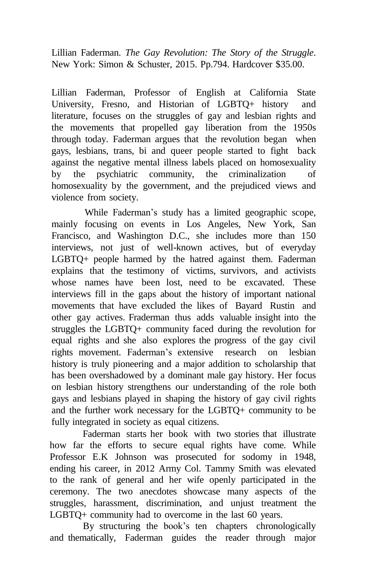Lillian Faderman. *The Gay Revolution: The Story of the Struggle*. New York: Simon & Schuster, 2015. Pp.794. Hardcover \$35.00.

Lillian Faderman, Professor of English at California State University, Fresno, and Historian of LGBTQ+ history and literature, focuses on the struggles of gay and lesbian rights and the movements that propelled gay liberation from the 1950s through today. Faderman argues that the revolution began when gays, lesbians, trans, bi and queer people started to fight back against the negative mental illness labels placed on homosexuality by the psychiatric community, the criminalization of homosexuality by the government, and the prejudiced views and violence from society.

While Faderman's study has a limited geographic scope, mainly focusing on events in Los Angeles, New York, San Francisco, and Washington D.C., she includes more than 150 interviews, not just of well-known actives, but of everyday LGBTQ+ people harmed by the hatred against them. Faderman explains that the testimony of victims, survivors, and activists whose names have been lost, need to be excavated. These interviews fill in the gaps about the history of important national movements that have excluded the likes of Bayard Rustin and other gay actives. Fraderman thus adds valuable insight into the struggles the LGBTQ+ community faced during the revolution for equal rights and she also explores the progress of the gay civil rights movement. Faderman's extensive research on lesbian history is truly pioneering and a major addition to scholarship that has been overshadowed by a dominant male gay history. Her focus on lesbian history strengthens our understanding of the role both gays and lesbians played in shaping the history of gay civil rights and the further work necessary for the LGBTQ+ community to be fully integrated in society as equal citizens.

Faderman starts her book with two stories that illustrate how far the efforts to secure equal rights have come. While Professor E.K Johnson was prosecuted for sodomy in 1948, ending his career, in 2012 Army Col. Tammy Smith was elevated to the rank of general and her wife openly participated in the ceremony. The two anecdotes showcase many aspects of the struggles, harassment, discrimination, and unjust treatment the LGBTQ+ community had to overcome in the last 60 years.

By structuring the book's ten chapters chronologically and thematically, Faderman guides the reader through major